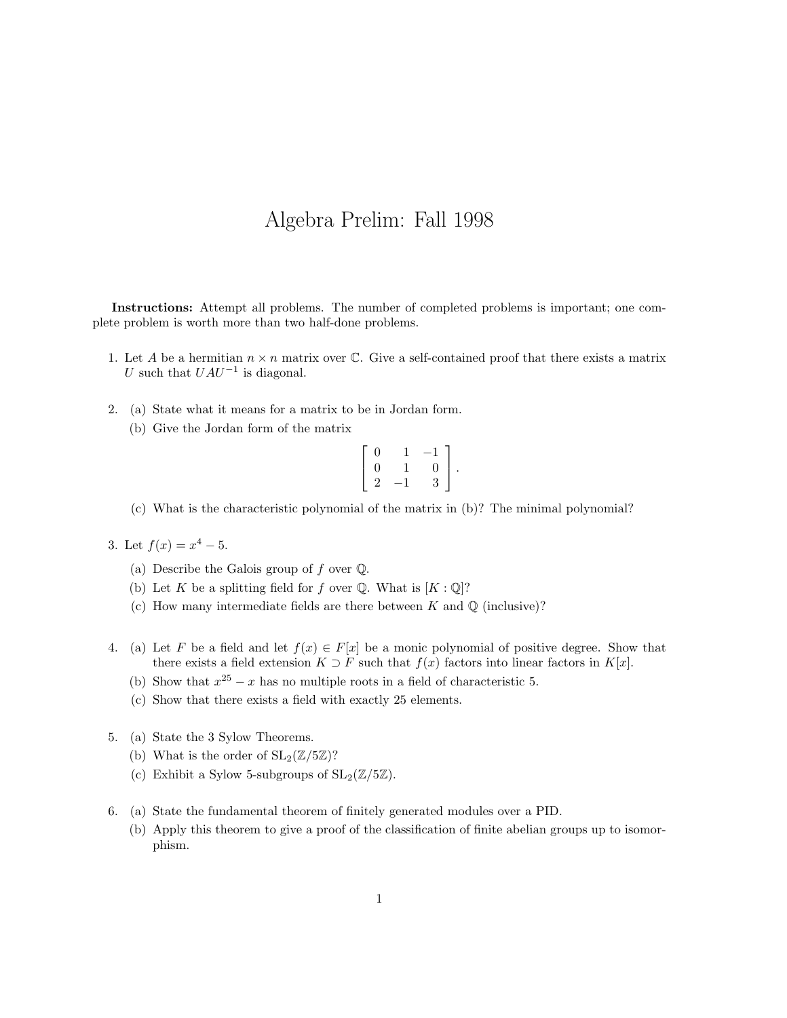## Algebra Prelim: Fall 1998

Instructions: Attempt all problems. The number of completed problems is important; one complete problem is worth more than two half-done problems.

- 1. Let A be a hermitian  $n \times n$  matrix over C. Give a self-contained proof that there exists a matrix U such that  $UAU^{-1}$  is diagonal.
- 2. (a) State what it means for a matrix to be in Jordan form.
	- (b) Give the Jordan form of the matrix

$$
\left[\begin{array}{ccc} 0 & 1 & -1 \\ 0 & 1 & 0 \\ 2 & -1 & 3 \end{array}\right].
$$

(c) What is the characteristic polynomial of the matrix in (b)? The minimal polynomial?

- 3. Let  $f(x) = x^4 5$ .
	- (a) Describe the Galois group of  $f$  over  $\mathbb Q$ .
	- (b) Let K be a splitting field for f over  $\mathbb Q$ . What is  $[K:\mathbb Q]$ ?
	- (c) How many intermediate fields are there between  $K$  and  $\mathbb Q$  (inclusive)?
- 4. (a) Let F be a field and let  $f(x) \in F[x]$  be a monic polynomial of positive degree. Show that there exists a field extension  $K \supset F$  such that  $f(x)$  factors into linear factors in  $K[x]$ .
	- (b) Show that  $x^{25} x$  has no multiple roots in a field of characteristic 5.
	- (c) Show that there exists a field with exactly 25 elements.
- 5. (a) State the 3 Sylow Theorems.
	- (b) What is the order of  $SL_2(\mathbb{Z}/5\mathbb{Z})$ ?
	- (c) Exhibit a Sylow 5-subgroups of  $SL_2(\mathbb{Z}/5\mathbb{Z})$ .
- 6. (a) State the fundamental theorem of finitely generated modules over a PID.
	- (b) Apply this theorem to give a proof of the classification of finite abelian groups up to isomorphism.